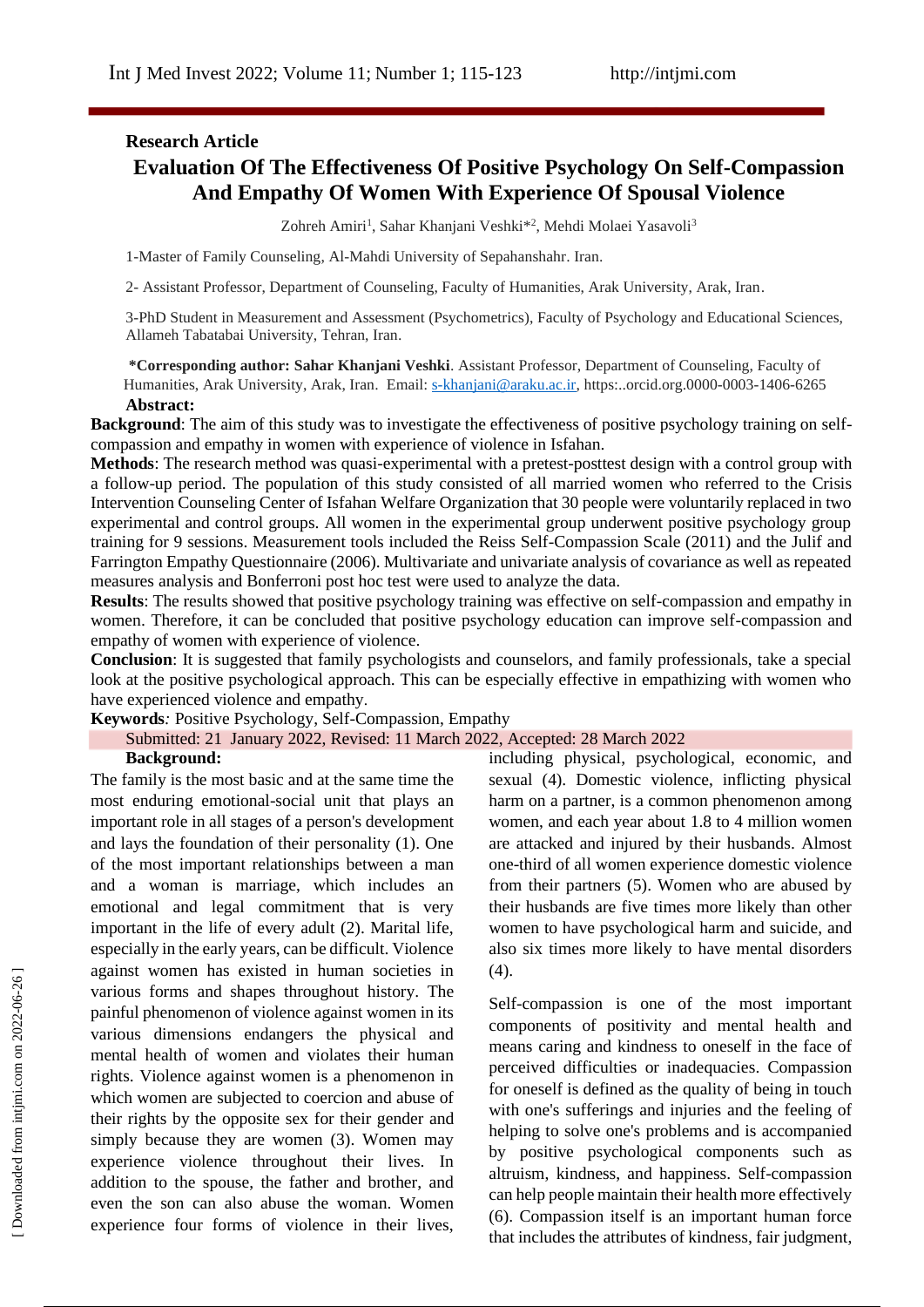# **Research Article Evaluation Of The Effectiveness Of Positive Psychology On Self-Compassion And Empathy Of Women With Experience Of Spousal Violence**

Zohreh Amiri<sup>1</sup>, Sahar Khanjani Veshki<sup>\*2</sup>, Mehdi Molaei Yasavoli<sup>3</sup>

1-Master of Family Counseling, Al-Mahdi University of Sepahanshahr. Iran.

2- Assistant Professor, Department of Counseling, Faculty of Humanities, Arak University, Arak, Iran.

3-PhD Student in Measurement and Assessment (Psychometrics), Faculty of Psychology and Educational Sciences, Allameh Tabatabai University, Tehran, Iran.

**\*Corresponding author: Sahar Khanjani Veshki**. Assistant Professor, Department of Counseling, Faculty of Humanities, Arak University, Arak, Iran. Email: [s-khanjani@araku.ac.ir,](mailto:s-khanjani@araku.ac.ir) https:..orcid.org.0000-0003-1406-6265 **Abstract:**

**Background**: The aim of this study was to investigate the effectiveness of positive psychology training on selfcompassion and empathy in women with experience of violence in Isfahan.

**Methods**: The research method was quasi-experimental with a pretest-posttest design with a control group with a follow-up period. The population of this study consisted of all married women who referred to the Crisis Intervention Counseling Center of Isfahan Welfare Organization that 30 people were voluntarily replaced in two experimental and control groups. All women in the experimental group underwent positive psychology group training for 9 sessions. Measurement tools included the Reiss Self-Compassion Scale (2011) and the Julif and Farrington Empathy Questionnaire (2006). Multivariate and univariate analysis of covariance as well as repeated measures analysis and Bonferroni post hoc test were used to analyze the data.

**Results**: The results showed that positive psychology training was effective on self-compassion and empathy in women. Therefore, it can be concluded that positive psychology education can improve self-compassion and empathy of women with experience of violence.

**Conclusion**: It is suggested that family psychologists and counselors, and family professionals, take a special look at the positive psychological approach. This can be especially effective in empathizing with women who have experienced violence and empathy.

**Keywords***:* Positive Psychology, Self-Compassion, Empathy

### Submitted: 21 January 2022, Revised: 11 March 2022, Accepted: 28 March 2022

#### **Background:**

The family is the most basic and at the same time the most enduring emotional-social unit that plays an important role in all stages of a person's development and lays the foundation of their personality (1). One of the most important relationships between a man and a woman is marriage, which includes an emotional and legal commitment that is very important in the life of every adult (2). Marital life, especially in the early years, can be difficult. Violence against women has existed in human societies in various forms and shapes throughout history. The painful phenomenon of violence against women in its various dimensions endangers the physical and mental health of women and violates their human rights. Violence against women is a phenomenon in which women are subjected to coercion and abuse of their rights by the opposite sex for their gender and simply because they are women (3). Women may experience violence throughout their lives. In addition to the spouse, the father and brother, and even the son can also abuse the woman. Women experience four forms of violence in their lives,

including physical, psychological, economic, and sexual (4). Domestic violence, inflicting physical harm on a partner, is a common phenomenon among women, and each year about 1.8 to 4 million women are attacked and injured by their husbands. Almost one-third of all women experience domestic violence from their partners (5). Women who are abused by their husbands are five times more likely than other women to have psychological harm and suicide, and also six times more likely to have mental disorders  $(4).$ 

Self-compassion is one of the most important components of positivity and mental health and means caring and kindness to oneself in the face of perceived difficulties or inadequacies. Compassion for oneself is defined as the quality of being in touch with one's sufferings and injuries and the feeling of helping to solve one's problems and is accompanied by positive psychological components such as altruism, kindness, and happiness. Self-compassion can help people maintain their health more effectively (6). Compassion itself is an important human force that includes the attributes of kindness, fair judgment,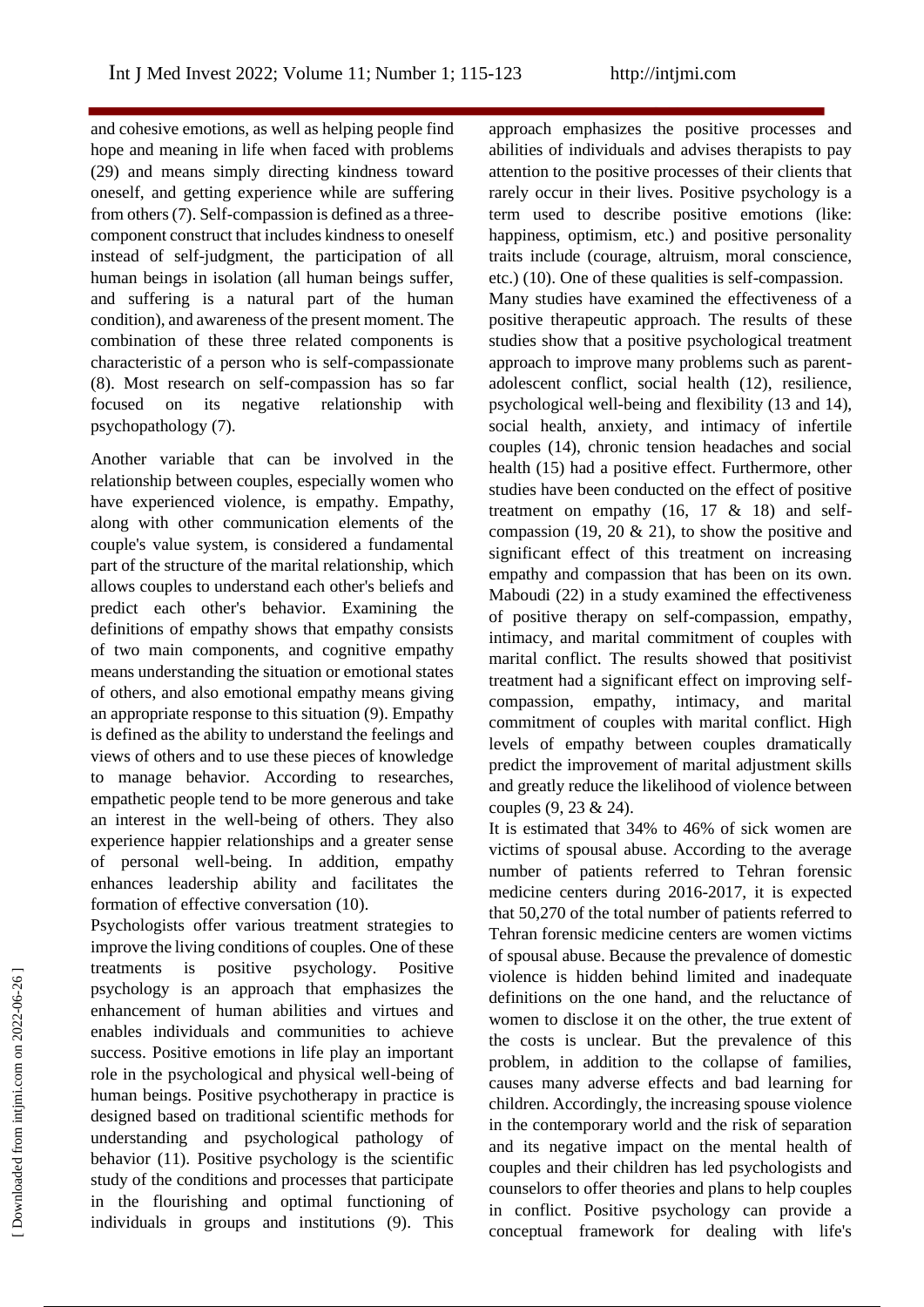and cohesive emotions, as well as helping people find hope and meaning in life when faced with problems (29) and means simply directing kindness toward oneself, and getting experience while are suffering from others (7). Self-compassion is defined as a threecomponent construct that includes kindness to oneself instead of self-judgment, the participation of all human beings in isolation (all human beings suffer, and suffering is a natural part of the human condition), and awareness of the present moment. The combination of these three related components is characteristic of a person who is self-compassionate (8). Most research on self-compassion has so far focused on its negative relationship with psychopathology (7).

Another variable that can be involved in the relationship between couples, especially women who have experienced violence, is empathy. Empathy, along with other communication elements of the couple's value system, is considered a fundamental part of the structure of the marital relationship, which allows couples to understand each other's beliefs and predict each other's behavior. Examining the definitions of empathy shows that empathy consists of two main components, and cognitive empathy means understanding the situation or emotional states of others, and also emotional empathy means giving an appropriate response to this situation (9). Empathy is defined as the ability to understand the feelings and views of others and to use these pieces of knowledge to manage behavior. According to researches, empathetic people tend to be more generous and take an interest in the well-being of others. They also experience happier relationships and a greater sense of personal well-being. In addition, empathy enhances leadership ability and facilitates the formation of effective conversation (10).

Psychologists offer various treatment strategies to improve the living conditions of couples. One of these treatments is positive psychology. Positive psychology is an approach that emphasizes the enhancement of human abilities and virtues and enables individuals and communities to achieve success. Positive emotions in life play an important role in the psychological and physical well-being of human beings. Positive psychotherapy in practice is designed based on traditional scientific methods for understanding and psychological pathology of behavior (11). Positive psychology is the scientific study of the conditions and processes that participate in the flourishing and optimal functioning of individuals in groups and institutions (9). This

approach emphasizes the positive processes and abilities of individuals and advises therapists to pay attention to the positive processes of their clients that rarely occur in their lives. Positive psychology is a term used to describe positive emotions (like: happiness, optimism, etc.) and positive personality traits include (courage, altruism, moral conscience, etc.) (10). One of these qualities is self-compassion. Many studies have examined the effectiveness of a positive therapeutic approach. The results of these studies show that a positive psychological treatment approach to improve many problems such as parentadolescent conflict, social health (12), resilience, psychological well-being and flexibility (13 and 14), social health, anxiety, and intimacy of infertile couples (14), chronic tension headaches and social health (15) had a positive effect. Furthermore, other studies have been conducted on the effect of positive treatment on empathy  $(16, 17 \& 18)$  and selfcompassion (19, 20  $\&$  21), to show the positive and significant effect of this treatment on increasing empathy and compassion that has been on its own. Maboudi (22) in a study examined the effectiveness of positive therapy on self-compassion, empathy, intimacy, and marital commitment of couples with marital conflict. The results showed that positivist treatment had a significant effect on improving selfcompassion, empathy, intimacy, and marital commitment of couples with marital conflict. High levels of empathy between couples dramatically predict the improvement of marital adjustment skills and greatly reduce the likelihood of violence between couples (9, 23 & 24).

It is estimated that 34% to 46% of sick women are victims of spousal abuse. According to the average number of patients referred to Tehran forensic medicine centers during 2016-2017, it is expected that 50,270 of the total number of patients referred to Tehran forensic medicine centers are women victims of spousal abuse. Because the prevalence of domestic violence is hidden behind limited and inadequate definitions on the one hand, and the reluctance of women to disclose it on the other, the true extent of the costs is unclear. But the prevalence of this problem, in addition to the collapse of families, causes many adverse effects and bad learning for children. Accordingly, the increasing spouse violence in the contemporary world and the risk of separation and its negative impact on the mental health of couples and their children has led psychologists and counselors to offer theories and plans to help couples in conflict. Positive psychology can provide a conceptual framework for dealing with life's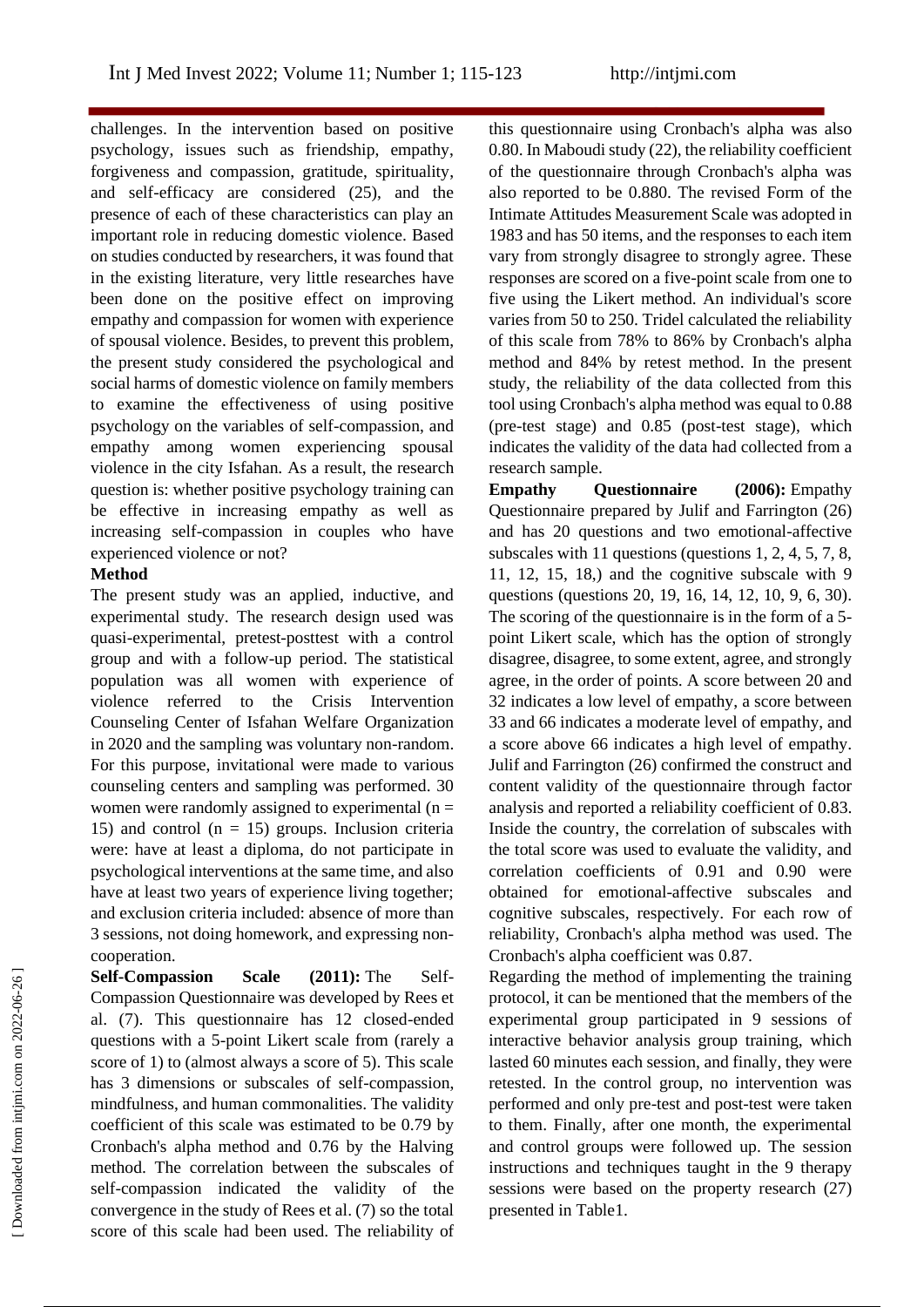challenges. In the intervention based on positive psychology, issues such as friendship, empathy, forgiveness and compassion, gratitude, spirituality, and self-efficacy are considered (25), and the presence of each of these characteristics can play an important role in reducing domestic violence. Based on studies conducted by researchers, it was found that in the existing literature, very little researches have been done on the positive effect on improving empathy and compassion for women with experience of spousal violence. Besides, to prevent this problem, the present study considered the psychological and social harms of domestic violence on family members to examine the effectiveness of using positive psychology on the variables of self-compassion, and empathy among women experiencing spousal violence in the city Isfahan. As a result, the research question is: whether positive psychology training can be effective in increasing empathy as well as increasing self-compassion in couples who have experienced violence or not?

#### **Method**

The present study was an applied, inductive, and experimental study. The research design used was quasi-experimental, pretest-posttest with a control group and with a follow-up period. The statistical population was all women with experience of violence referred to the Crisis Intervention Counseling Center of Isfahan Welfare Organization in 2020 and the sampling was voluntary non-random. For this purpose, invitational were made to various counseling centers and sampling was performed. 30 women were randomly assigned to experimental  $(n =$ 15) and control  $(n = 15)$  groups. Inclusion criteria were: have at least a diploma, do not participate in psychological interventions at the same time, and also have at least two years of experience living together; and exclusion criteria included: absence of more than 3 sessions, not doing homework, and expressing noncooperation.

**Self-Compassion Scale (2011):** The Self-Compassion Questionnaire was developed by Rees et al. (7). This questionnaire has 12 closed-ended questions with a 5-point Likert scale from (rarely a score of 1) to (almost always a score of 5). This scale has 3 dimensions or subscales of self-compassion, mindfulness, and human commonalities. The validity coefficient of this scale was estimated to be 0.79 by Cronbach's alpha method and 0.76 by the Halving method. The correlation between the subscales of self-compassion indicated the validity of the convergence in the study of Rees et al. (7) so the total score of this scale had been used. The reliability of

this questionnaire using Cronbach's alpha was also 0.80. In Maboudi study (22), the reliability coefficient of the questionnaire through Cronbach's alpha was also reported to be 0.880. The revised Form of the Intimate Attitudes Measurement Scale was adopted in 1983 and has 50 items, and the responses to each item vary from strongly disagree to strongly agree. These responses are scored on a five-point scale from one to five using the Likert method. An individual's score varies from 50 to 250. Tridel calculated the reliability of this scale from 78% to 86% by Cronbach's alpha method and 84% by retest method. In the present study, the reliability of the data collected from this tool using Cronbach's alpha method was equal to 0.88 (pre-test stage) and 0.85 (post-test stage), which indicates the validity of the data had collected from a research sample.

**Empathy Questionnaire (2006):** Empathy Questionnaire prepared by Julif and Farrington (26) and has 20 questions and two emotional-affective subscales with 11 questions (questions 1, 2, 4, 5, 7, 8, 11, 12, 15, 18,) and the cognitive subscale with 9 questions (questions 20, 19, 16, 14, 12, 10, 9, 6, 30). The scoring of the questionnaire is in the form of a 5 point Likert scale, which has the option of strongly disagree, disagree, to some extent, agree, and strongly agree, in the order of points. A score between 20 and 32 indicates a low level of empathy, a score between 33 and 66 indicates a moderate level of empathy, and a score above 66 indicates a high level of empathy. Julif and Farrington (26) confirmed the construct and content validity of the questionnaire through factor analysis and reported a reliability coefficient of 0.83. Inside the country, the correlation of subscales with the total score was used to evaluate the validity, and correlation coefficients of 0.91 and 0.90 were obtained for emotional-affective subscales and cognitive subscales, respectively. For each row of reliability, Cronbach's alpha method was used. The Cronbach's alpha coefficient was 0.87.

Regarding the method of implementing the training protocol, it can be mentioned that the members of the experimental group participated in 9 sessions of interactive behavior analysis group training, which lasted 60 minutes each session, and finally, they were retested. In the control group, no intervention was performed and only pre-test and post-test were taken to them. Finally, after one month, the experimental and control groups were followed up. The session instructions and techniques taught in the 9 therapy sessions were based on the property research (27) presented in Table1.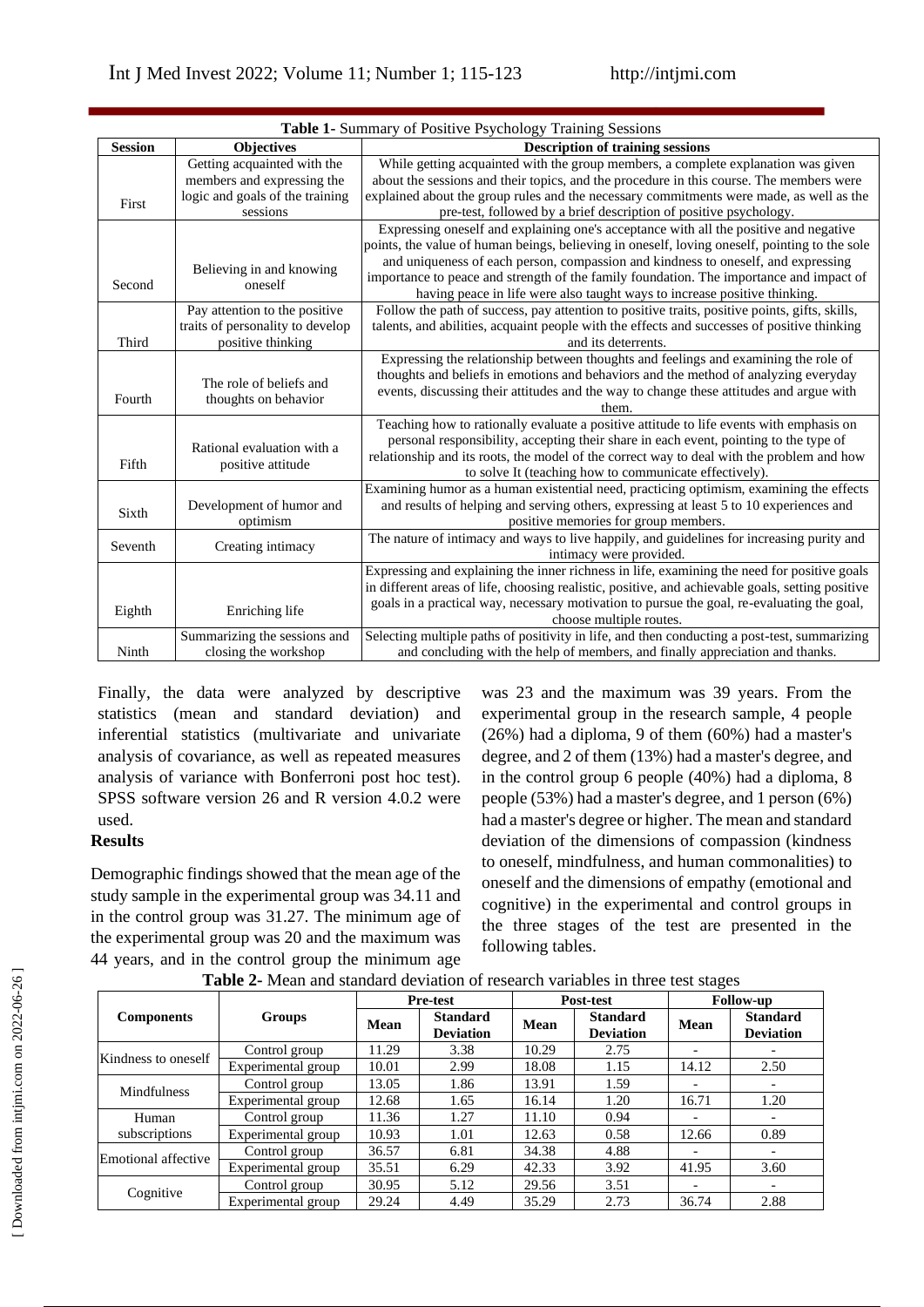| Table 1- Summary of Positive Psychology Training Sessions |                                                                                                          |                                                                                                                                                                                                                                                                                                                                                                                                                                                     |  |  |  |  |
|-----------------------------------------------------------|----------------------------------------------------------------------------------------------------------|-----------------------------------------------------------------------------------------------------------------------------------------------------------------------------------------------------------------------------------------------------------------------------------------------------------------------------------------------------------------------------------------------------------------------------------------------------|--|--|--|--|
| <b>Session</b>                                            | Objectives                                                                                               | <b>Description of training sessions</b>                                                                                                                                                                                                                                                                                                                                                                                                             |  |  |  |  |
| First                                                     | Getting acquainted with the<br>members and expressing the<br>logic and goals of the training<br>sessions | While getting acquainted with the group members, a complete explanation was given<br>about the sessions and their topics, and the procedure in this course. The members were<br>explained about the group rules and the necessary commitments were made, as well as the<br>pre-test, followed by a brief description of positive psychology.                                                                                                        |  |  |  |  |
| Second                                                    | Believing in and knowing<br>oneself                                                                      | Expressing oneself and explaining one's acceptance with all the positive and negative<br>points, the value of human beings, believing in oneself, loving oneself, pointing to the sole<br>and uniqueness of each person, compassion and kindness to oneself, and expressing<br>importance to peace and strength of the family foundation. The importance and impact of<br>having peace in life were also taught ways to increase positive thinking. |  |  |  |  |
| Third                                                     | Pay attention to the positive<br>traits of personality to develop<br>positive thinking                   | Follow the path of success, pay attention to positive traits, positive points, gifts, skills,<br>talents, and abilities, acquaint people with the effects and successes of positive thinking<br>and its deterrents.                                                                                                                                                                                                                                 |  |  |  |  |
| Fourth                                                    | The role of beliefs and<br>thoughts on behavior                                                          | Expressing the relationship between thoughts and feelings and examining the role of<br>thoughts and beliefs in emotions and behaviors and the method of analyzing everyday<br>events, discussing their attitudes and the way to change these attitudes and argue with<br>them.                                                                                                                                                                      |  |  |  |  |
| Fifth                                                     | Rational evaluation with a<br>positive attitude                                                          | Teaching how to rationally evaluate a positive attitude to life events with emphasis on<br>personal responsibility, accepting their share in each event, pointing to the type of<br>relationship and its roots, the model of the correct way to deal with the problem and how<br>to solve It (teaching how to communicate effectively).                                                                                                             |  |  |  |  |
| Sixth                                                     | Development of humor and<br>optimism                                                                     | Examining humor as a human existential need, practicing optimism, examining the effects<br>and results of helping and serving others, expressing at least 5 to 10 experiences and<br>positive memories for group members.                                                                                                                                                                                                                           |  |  |  |  |
| Seventh                                                   | Creating intimacy                                                                                        | The nature of intimacy and ways to live happily, and guidelines for increasing purity and<br>intimacy were provided.                                                                                                                                                                                                                                                                                                                                |  |  |  |  |
| Eighth                                                    | Enriching life                                                                                           | Expressing and explaining the inner richness in life, examining the need for positive goals<br>in different areas of life, choosing realistic, positive, and achievable goals, setting positive<br>goals in a practical way, necessary motivation to pursue the goal, re-evaluating the goal,<br>choose multiple routes.                                                                                                                            |  |  |  |  |
| Ninth                                                     | Summarizing the sessions and<br>closing the workshop                                                     | Selecting multiple paths of positivity in life, and then conducting a post-test, summarizing<br>and concluding with the help of members, and finally appreciation and thanks.                                                                                                                                                                                                                                                                       |  |  |  |  |

Finally, the data were analyzed by descriptive statistics (mean and standard deviation) and inferential statistics (multivariate and univariate analysis of covariance, as well as repeated measures analysis of variance with Bonferroni post hoc test). SPSS software version 26 and R version 4.0.2 were used.

#### **Results**

Demographic findings showed that the mean age of the study sample in the experimental group was 34.11 and in the control group was 31.27. The minimum age of the experimental group was 20 and the maximum was 44 years, and in the control group the minimum age

was 23 and the maximum was 39 years. From the experimental group in the research sample, 4 people (26%) had a diploma, 9 of them (60%) had a master's degree, and 2 of them (13%) had a master's degree, and in the control group 6 people (40%) had a diploma, 8 people (53%) had a master's degree, and 1 person (6%) had a master's degree or higher. The mean and standard deviation of the dimensions of compassion (kindness to oneself, mindfulness, and human commonalities) to oneself and the dimensions of empathy (emotional and cognitive) in the experimental and control groups in the three stages of the test are presented in the following tables.

|                     |                    | <b>Pre-test</b> |                                     | Post-test   |                                     | <b>Follow-up</b>         |                                     |
|---------------------|--------------------|-----------------|-------------------------------------|-------------|-------------------------------------|--------------------------|-------------------------------------|
| <b>Components</b>   | Groups             | <b>Mean</b>     | <b>Standard</b><br><b>Deviation</b> | <b>Mean</b> | <b>Standard</b><br><b>Deviation</b> | <b>Mean</b>              | <b>Standard</b><br><b>Deviation</b> |
|                     | Control group      | 11.29           | 3.38                                | 10.29       | 2.75                                |                          |                                     |
| Kindness to oneself | Experimental group | 10.01           | 2.99                                | 18.08       | 1.15                                | 14.12                    | 2.50                                |
| <b>Mindfulness</b>  | Control group      | 13.05           | 1.86                                | 13.91       | 1.59                                | $\overline{\phantom{0}}$ |                                     |
|                     | Experimental group | 12.68           | 1.65                                | 16.14       | 1.20                                | 16.71                    | 1.20                                |
| Human               | Control group      | 11.36           | 1.27                                | 11.10       | 0.94                                |                          |                                     |
| subscriptions       | Experimental group | 10.93           | 1.01                                | 12.63       | 0.58                                | 12.66                    | 0.89                                |
| Emotional affective | Control group      | 36.57           | 6.81                                | 34.38       | 4.88                                |                          | $\overline{\phantom{a}}$            |
|                     | Experimental group | 35.51           | 6.29                                | 42.33       | 3.92                                | 41.95                    | 3.60                                |
|                     | Control group      | 30.95           | 5.12                                | 29.56       | 3.51                                | $\overline{\phantom{0}}$ | $\overline{\phantom{0}}$            |
| Cognitive           | Experimental group | 29.24           | 4.49                                | 35.29       | 2.73                                | 36.74                    | 2.88                                |

**Table 2-** Mean and standard deviation of research variables in three test stages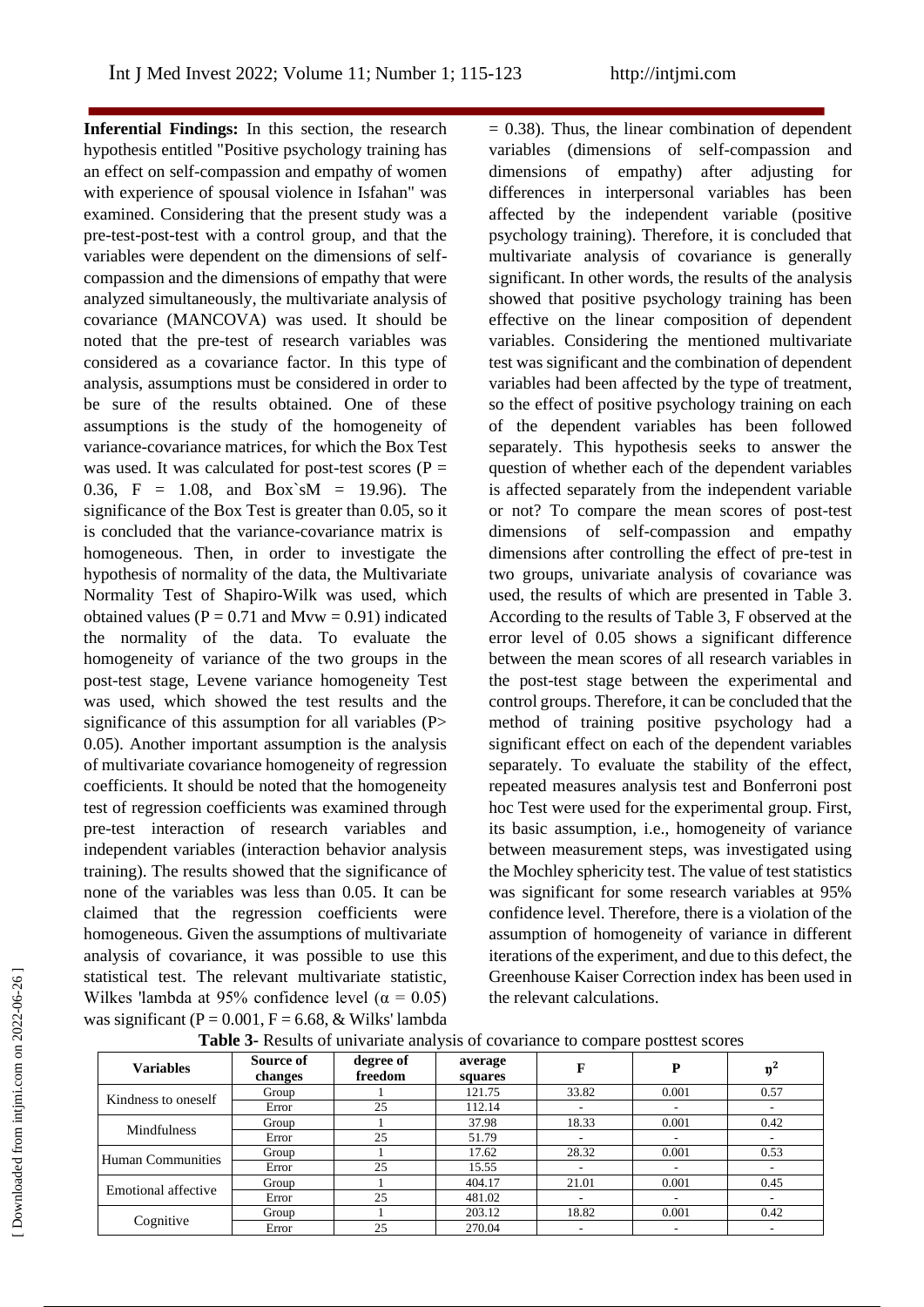**Inferential Findings:** In this section, the research hypothesis entitled "Positive psychology training has an effect on self-compassion and empathy of women with experience of spousal violence in Isfahan" was examined. Considering that the present study was a pre-test-post-test with a control group, and that the variables were dependent on the dimensions of selfcompassion and the dimensions of empathy that were analyzed simultaneously, the multivariate analysis of covariance (MANCOVA) was used. It should be noted that the pre-test of research variables was considered as a covariance factor. In this type of analysis, assumptions must be considered in order to be sure of the results obtained. One of these assumptions is the study of the homogeneity of variance-covariance matrices, for which the Box Test was used. It was calculated for post-test scores ( $P =$ 0.36, F = 1.08, and Box`sM = 19.96). The significance of the Box Test is greater than 0.05, so it is concluded that the variance-covariance matrix is homogeneous. Then, in order to investigate the hypothesis of normality of the data, the Multivariate Normality Test of Shapiro-Wilk was used, which obtained values ( $P = 0.71$  and Mvw = 0.91) indicated the normality of the data. To evaluate the homogeneity of variance of the two groups in the post-test stage, Levene variance homogeneity Test was used, which showed the test results and the significance of this assumption for all variables (P 0.05). Another important assumption is the analysis of multivariate covariance homogeneity of regression coefficients. It should be noted that the homogeneity test of regression coefficients was examined through pre-test interaction of research variables and independent variables (interaction behavior analysis training). The results showed that the significance of none of the variables was less than 0.05. It can be claimed that the regression coefficients were homogeneous. Given the assumptions of multivariate analysis of covariance, it was possible to use this statistical test. The relevant multivariate statistic, Wilkes 'lambda at 95% confidence level ( $\alpha = 0.05$ ) was significant ( $P = 0.001$ ,  $F = 6.68$ , & Wilks' lambda  $= 0.38$ ). Thus, the linear combination of dependent variables (dimensions of self-compassion and dimensions of empathy) after adjusting for differences in interpersonal variables has been affected by the independent variable (positive psychology training). Therefore, it is concluded that multivariate analysis of covariance is generally significant. In other words, the results of the analysis showed that positive psychology training has been effective on the linear composition of dependent variables. Considering the mentioned multivariate test was significant and the combination of dependent variables had been affected by the type of treatment, so the effect of positive psychology training on each of the dependent variables has been followed separately. This hypothesis seeks to answer the question of whether each of the dependent variables is affected separately from the independent variable or not? To compare the mean scores of post-test dimensions of self-compassion and empathy dimensions after controlling the effect of pre-test in two groups, univariate analysis of covariance was used, the results of which are presented in Table 3. According to the results of Table 3, F observed at the error level of 0.05 shows a significant difference between the mean scores of all research variables in the post-test stage between the experimental and control groups. Therefore, it can be concluded that the method of training positive psychology had a significant effect on each of the dependent variables separately. To evaluate the stability of the effect, repeated measures analysis test and Bonferroni post hoc Test were used for the experimental group. First, its basic assumption, i.e., homogeneity of variance between measurement steps, was investigated using the Mochley sphericity test. The value of test statistics was significant for some research variables at 95% confidence level. Therefore, there is a violation of the assumption of homogeneity of variance in different iterations of the experiment, and due to this defect, the Greenhouse Kaiser Correction index has been used in the relevant calculations.

| <b>Variables</b>           | Source of<br>changes | degree of<br>freedom | average<br>squares | F     | $\overline{\phantom{a}}$<br>P |        |
|----------------------------|----------------------|----------------------|--------------------|-------|-------------------------------|--------|
| Kindness to oneself        | Group                |                      | 121.75             | 33.82 | 0.001                         | 0.57   |
|                            | Error                | 25                   | 112.14             |       |                               |        |
|                            | Group                |                      | 37.98              | 18.33 | 0.001                         | 0.42   |
| <b>Mindfulness</b>         | Error                | 25                   | 51.79              |       | ۰                             | $\sim$ |
| <b>Human Communities</b>   | Group                |                      | 17.62              | 28.32 | 0.001                         | 0.53   |
|                            | Error                | 25                   | 15.55              |       | $\overline{\phantom{a}}$      | ۰      |
|                            | Group                |                      | 404.17             | 21.01 | 0.001                         | 0.45   |
| <b>Emotional affective</b> | Error                | 25                   | 481.02             |       | $\overline{\phantom{a}}$      | ۰      |
| Cognitive                  | Group                |                      | 203.12             | 18.82 | 0.001                         | 0.42   |
|                            | Error                | 25                   | 270.04             |       | ۰                             | ۰      |

**Table 3-** Results of univariate analysis of covariance to compare posttest scores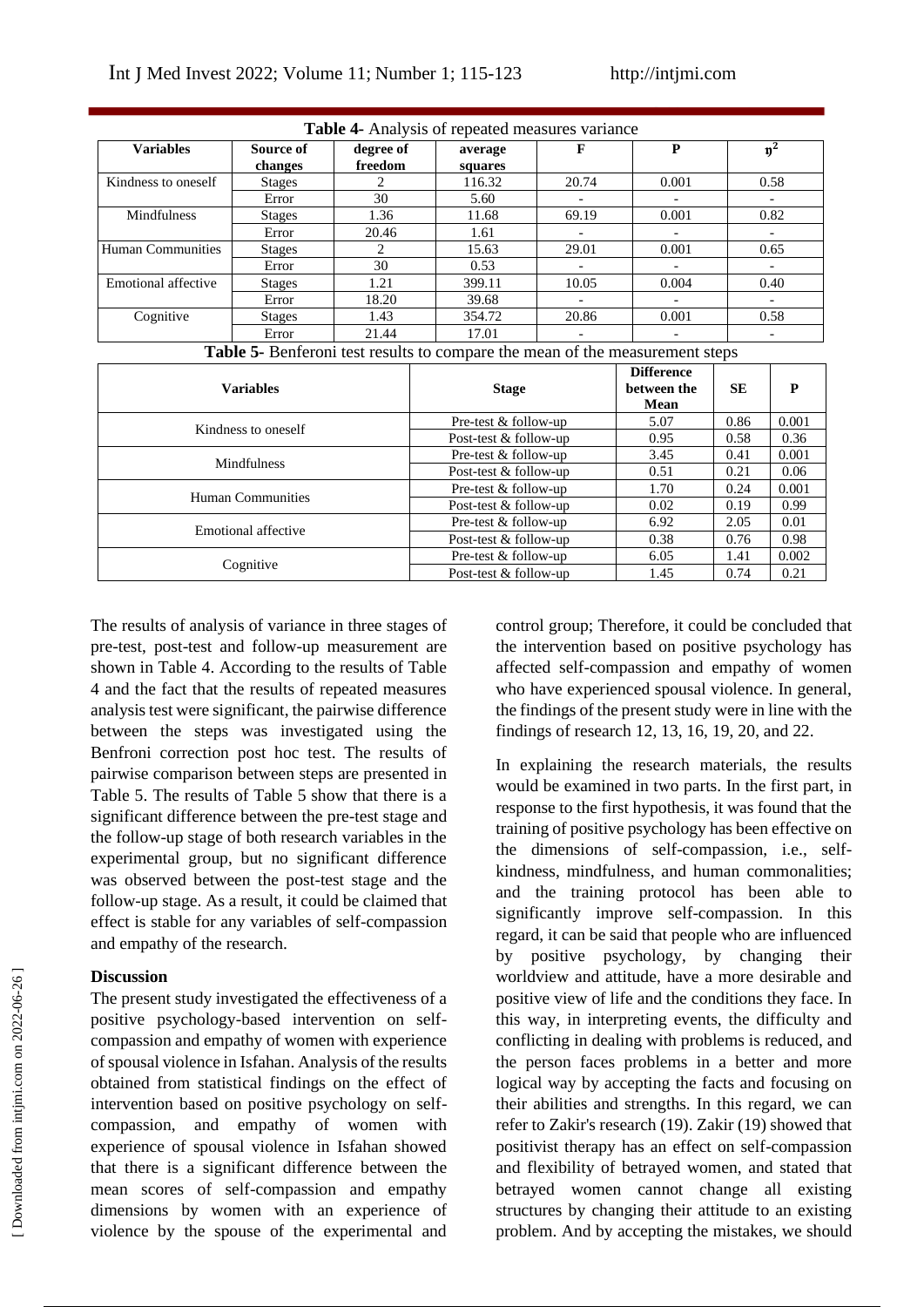| <b>Table 4-</b> Analysis of repeated measures variance |                      |                      |                    |       |                          |      |  |
|--------------------------------------------------------|----------------------|----------------------|--------------------|-------|--------------------------|------|--|
| <b>Variables</b>                                       | Source of<br>changes | degree of<br>freedom | average<br>squares |       | P                        |      |  |
| Kindness to oneself                                    | <b>Stages</b>        |                      | 116.32             | 20.74 | 0.001                    | 0.58 |  |
|                                                        | Error                | 30                   | 5.60               |       | $\overline{\phantom{0}}$ |      |  |
| Mindfulness                                            | <b>Stages</b>        | 1.36                 | 11.68              | 69.19 | 0.001                    | 0.82 |  |
|                                                        | Error                | 20.46                | 1.61               |       |                          |      |  |
| Human Communities                                      | <b>Stages</b>        |                      | 15.63              | 29.01 | 0.001                    | 0.65 |  |
|                                                        | Error                | 30                   | 0.53               |       | $\overline{\phantom{0}}$ |      |  |
| Emotional affective                                    | <b>Stages</b>        | 1.21                 | 399.11             | 10.05 | 0.004                    | 0.40 |  |
|                                                        | Error                | 18.20                | 39.68              |       | $\overline{\phantom{0}}$ |      |  |
| Cognitive                                              | <b>Stages</b>        | 1.43                 | 354.72             | 20.86 | 0.001                    | 0.58 |  |
|                                                        | Error                | 21.44                | 17.01              |       |                          |      |  |

| <b>Table 5-</b> Benferoni test results to compare the mean of the measurement steps |  |
|-------------------------------------------------------------------------------------|--|
|-------------------------------------------------------------------------------------|--|

| <b>Variables</b>    | <b>Stage</b>          | <b>Difference</b><br>between the<br>Mean | <b>SE</b> | P     |
|---------------------|-----------------------|------------------------------------------|-----------|-------|
| Kindness to oneself | Pre-test & follow-up  | 5.07                                     | 0.86      | 0.001 |
|                     | Post-test & follow-up | 0.95                                     | 0.58      | 0.36  |
| <b>Mindfulness</b>  | Pre-test & follow-up  | 3.45                                     | 0.41      | 0.001 |
|                     | Post-test & follow-up | 0.51                                     | 0.21      | 0.06  |
| Human Communities   | Pre-test & follow-up  | 1.70                                     | 0.24      | 0.001 |
|                     | Post-test & follow-up | 0.02                                     | 0.19      | 0.99  |
| Emotional affective | Pre-test & follow-up  | 6.92                                     | 2.05      | 0.01  |
|                     | Post-test & follow-up | 0.38                                     | 0.76      | 0.98  |
|                     | Pre-test & follow-up  | 6.05                                     | 1.41      | 0.002 |
| Cognitive           | Post-test & follow-up | 1.45                                     | 0.74      | 0.21  |

The results of analysis of variance in three stages of pre-test, post-test and follow-up measurement are shown in Table 4. According to the results of Table 4 and the fact that the results of repeated measures analysis test were significant, the pairwise difference between the steps was investigated using the Benfroni correction post hoc test. The results of pairwise comparison between steps are presented in Table 5. The results of Table 5 show that there is a significant difference between the pre-test stage and the follow-up stage of both research variables in the experimental group, but no significant difference was observed between the post-test stage and the follow-up stage. As a result, it could be claimed that effect is stable for any variables of self-compassion and empathy of the research.

# **Discussion**

The present study investigated the effectiveness of a positive psychology-based intervention on selfcompassion and empathy of women with experience of spousal violence in Isfahan. Analysis of the results obtained from statistical findings on the effect of intervention based on positive psychology on selfcompassion, and empathy of women with experience of spousal violence in Isfahan showed that there is a significant difference between the mean scores of self-compassion and empathy dimensions by women with an experience of violence by the spouse of the experimental and

control group; Therefore, it could be concluded that the intervention based on positive psychology has affected self-compassion and empathy of women who have experienced spousal violence. In general, the findings of the present study were in line with the findings of research 12, 13, 16, 19, 20, and 22.

In explaining the research materials, the results would be examined in two parts. In the first part, in response to the first hypothesis, it was found that the training of positive psychology has been effective on the dimensions of self-compassion, i.e., selfkindness, mindfulness, and human commonalities; and the training protocol has been able to significantly improve self-compassion. In this regard, it can be said that people who are influenced by positive psychology, by changing their worldview and attitude, have a more desirable and positive view of life and the conditions they face. In this way, in interpreting events, the difficulty and conflicting in dealing with problems is reduced, and the person faces problems in a better and more logical way by accepting the facts and focusing on their abilities and strengths. In this regard, we can refer to Zakir's research (19). Zakir (19) showed that positivist therapy has an effect on self-compassion and flexibility of betrayed women, and stated that betrayed women cannot change all existing structures by changing their attitude to an existing problem. And by accepting the mistakes, we should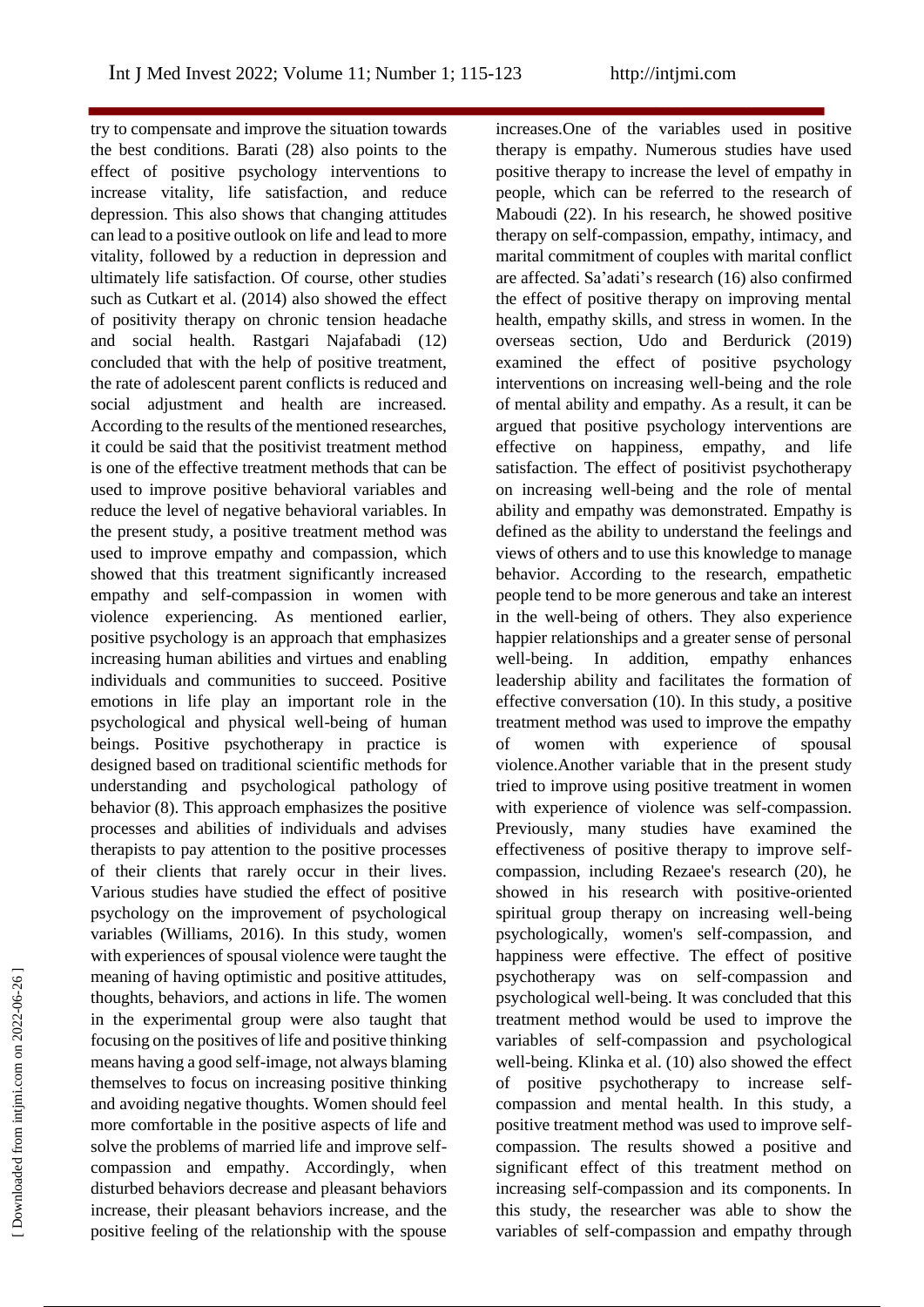try to compensate and improve the situation towards the best conditions. Barati (28) also points to the effect of positive psychology interventions to increase vitality, life satisfaction, and reduce depression. This also shows that changing attitudes can lead to a positive outlook on life and lead to more vitality, followed by a reduction in depression and ultimately life satisfaction. Of course, other studies such as Cutkart et al. (2014) also showed the effect of positivity therapy on chronic tension headache and social health. Rastgari Najafabadi (12) concluded that with the help of positive treatment, the rate of adolescent parent conflicts is reduced and social adjustment and health are increased. According to the results of the mentioned researches, it could be said that the positivist treatment method is one of the effective treatment methods that can be used to improve positive behavioral variables and reduce the level of negative behavioral variables. In the present study, a positive treatment method was used to improve empathy and compassion, which showed that this treatment significantly increased empathy and self-compassion in women with violence experiencing. As mentioned earlier, positive psychology is an approach that emphasizes increasing human abilities and virtues and enabling individuals and communities to succeed. Positive emotions in life play an important role in the psychological and physical well-being of human beings. Positive psychotherapy in practice is designed based on traditional scientific methods for understanding and psychological pathology of behavior (8). This approach emphasizes the positive processes and abilities of individuals and advises therapists to pay attention to the positive processes of their clients that rarely occur in their lives. Various studies have studied the effect of positive psychology on the improvement of psychological variables (Williams, 2016). In this study, women with experiences of spousal violence were taught the meaning of having optimistic and positive attitudes, thoughts, behaviors, and actions in life. The women in the experimental group were also taught that focusing on the positives of life and positive thinking means having a good self-image, not always blaming themselves to focus on increasing positive thinking and avoiding negative thoughts. Women should feel more comfortable in the positive aspects of life and solve the problems of married life and improve selfcompassion and empathy. Accordingly, when disturbed behaviors decrease and pleasant behaviors increase, their pleasant behaviors increase, and the positive feeling of the relationship with the spouse

increases.One of the variables used in positive therapy is empathy. Numerous studies have used positive therapy to increase the level of empathy in people, which can be referred to the research of Maboudi (22). In his research, he showed positive therapy on self-compassion, empathy, intimacy, and marital commitment of couples with marital conflict are affected. Sa'adati's research (16) also confirmed the effect of positive therapy on improving mental health, empathy skills, and stress in women. In the overseas section, Udo and Berdurick (2019) examined the effect of positive psychology interventions on increasing well-being and the role of mental ability and empathy. As a result, it can be argued that positive psychology interventions are effective on happiness, empathy, and life satisfaction. The effect of positivist psychotherapy on increasing well-being and the role of mental ability and empathy was demonstrated. Empathy is defined as the ability to understand the feelings and views of others and to use this knowledge to manage behavior. According to the research, empathetic people tend to be more generous and take an interest in the well-being of others. They also experience happier relationships and a greater sense of personal well-being. In addition, empathy enhances leadership ability and facilitates the formation of effective conversation (10). In this study, a positive treatment method was used to improve the empathy of women with experience of spousal violence.Another variable that in the present study tried to improve using positive treatment in women with experience of violence was self-compassion. Previously, many studies have examined the effectiveness of positive therapy to improve selfcompassion, including Rezaee's research (20), he showed in his research with positive-oriented spiritual group therapy on increasing well-being psychologically, women's self-compassion, and happiness were effective. The effect of positive psychotherapy was on self-compassion and psychological well-being. It was concluded that this treatment method would be used to improve the variables of self-compassion and psychological well-being. Klinka et al. (10) also showed the effect of positive psychotherapy to increase selfcompassion and mental health. In this study, a positive treatment method was used to improve selfcompassion. The results showed a positive and significant effect of this treatment method on increasing self-compassion and its components. In this study, the researcher was able to show the variables of self-compassion and empathy through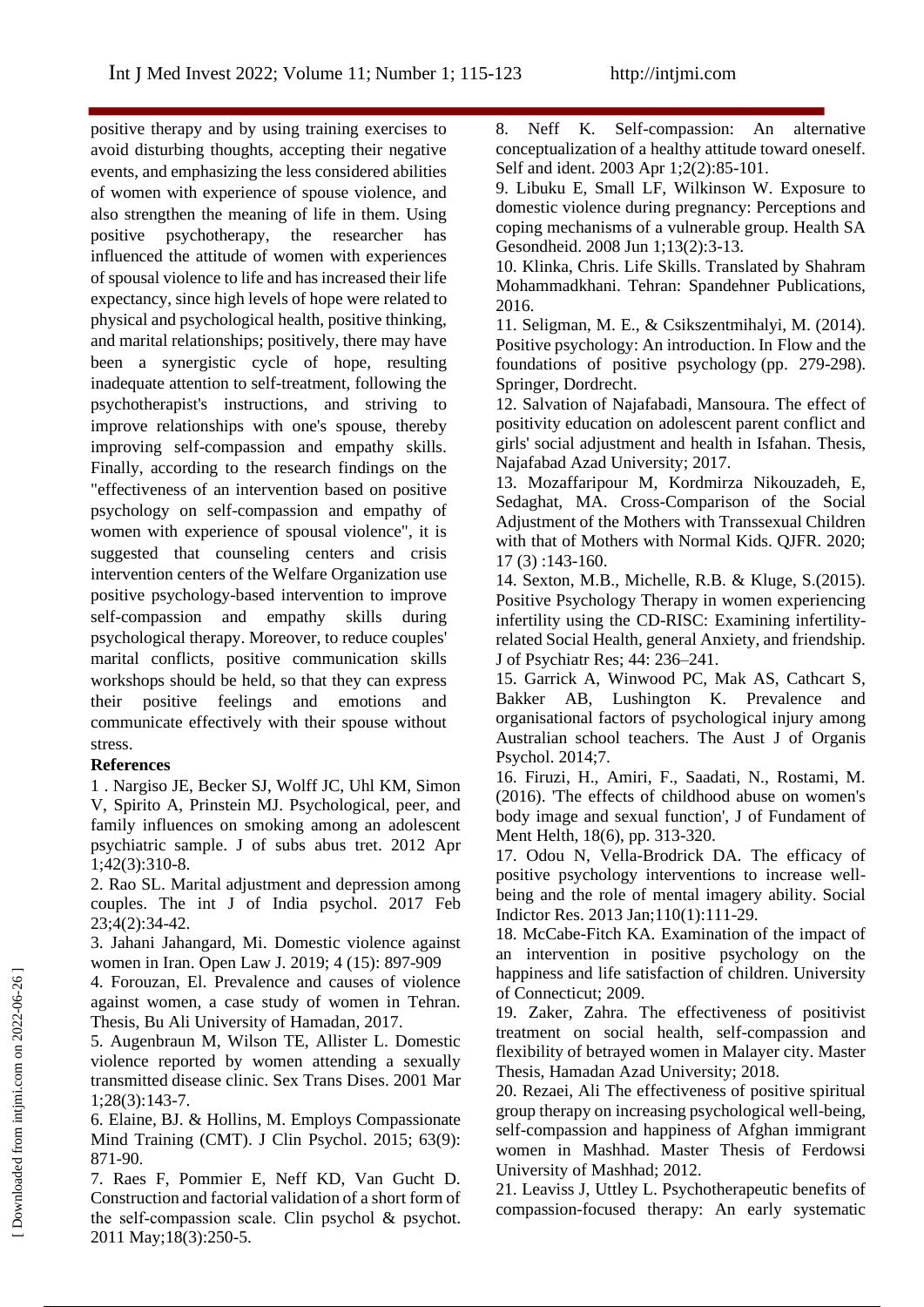positive therapy and by using training exercises to avoid disturbing thoughts, accepting their negative events, and emphasizing the less considered abilities of women with experience of spouse violence, and also strengthen the meaning of life in them. Using positive psychotherapy, the researcher has influenced the attitude of women with experiences of spousal violence to life and has increased their life expectancy, since high levels of hope were related to physical and psychological health, positive thinking, and marital relationships; positively, there may have been a synergistic cycle of hope, resulting inadequate attention to self-treatment, following the psychotherapist's instructions, and striving to improve relationships with one's spouse, thereby improving self-compassion and empathy skills. Finally, according to the research findings on the "effectiveness of an intervention based on positive psychology on self-compassion and empathy of women with experience of spousal violence", it is suggested that counseling centers and crisis intervention centers of the Welfare Organization use positive psychology-based intervention to improve self-compassion and empathy skills during psychological therapy. Moreover, to reduce couples' marital conflicts, positive communication skills workshops should be held, so that they can express their positive feelings and emotions and communicate effectively with their spouse without stress.

# **References**

1 . Nargiso JE, Becker SJ, Wolff JC, Uhl KM, Simon V, Spirito A, Prinstein MJ. Psychological, peer, and family influences on smoking among an adolescent psychiatric sample. J of subs abus tret. 2012 Apr 1;42(3):310-8.

2. Rao SL. Marital adjustment and depression among couples. The int J of India psychol. 2017 Feb 23;4(2):34-42.

3. Jahani Jahangard, Mi. Domestic violence against women in Iran. Open Law J. 2019; 4 (15): 897-909

4. Forouzan, El. Prevalence and causes of violence against women, a case study of women in Tehran. Thesis, Bu Ali University of Hamadan, 2017.

5. Augenbraun M, Wilson TE, Allister L. Domestic violence reported by women attending a sexually transmitted disease clinic. Sex Trans Dises. 2001 Mar 1;28(3):143-7.

6. Elaine, BJ. & Hollins, M. Employs Compassionate Mind Training (CMT). J Clin Psychol. 2015; 63(9): 871-90.

7. Raes F, Pommier E, Neff KD, Van Gucht D. Construction and factorial validation of a short form of the self-compassion scale. Clin psychol & psychot. 2011 May;18(3):250-5.

8. Neff K. Self-compassion: An alternative conceptualization of a healthy attitude toward oneself. Self and ident. 2003 Apr 1;2(2):85-101.

9. Libuku E, Small LF, Wilkinson W. Exposure to domestic violence during pregnancy: Perceptions and coping mechanisms of a vulnerable group. Health SA Gesondheid. 2008 Jun 1;13(2):3-13.

10. Klinka, Chris. Life Skills. Translated by Shahram Mohammadkhani. Tehran: Spandehner Publications, 2016.

11. Seligman, M. E., & Csikszentmihalyi, M. (2014). Positive psychology: An introduction. In Flow and the foundations of positive psychology (pp. 279-298). Springer, Dordrecht.

12. Salvation of Najafabadi, Mansoura. The effect of positivity education on adolescent parent conflict and girls' social adjustment and health in Isfahan. Thesis, Najafabad Azad University; 2017.

13. Mozaffaripour M, Kordmirza Nikouzadeh, E, Sedaghat, MA. Cross-Comparison of the Social Adjustment of the Mothers with Transsexual Children with that of Mothers with Normal Kids. QJFR. 2020; 17 (3) :143-160.

14. Sexton, M.B., Michelle, R.B. & Kluge, S.(2015). Positive Psychology Therapy in women experiencing infertility using the CD-RISC: Examining infertilityrelated Social Health, general Anxiety, and friendship. J of Psychiatr Res; 44: 236–241.

15. Garrick A, Winwood PC, Mak AS, Cathcart S, Bakker AB, Lushington K. Prevalence and organisational factors of psychological injury among Australian school teachers. The Aust J of Organis Psychol. 2014;7.

16. Firuzi, H., Amiri, F., Saadati, N., Rostami, M. (2016). 'The effects of childhood abuse on women's body image and sexual function', J of Fundament of Ment Helth, 18(6), pp. 313-320.

17. Odou N, Vella-Brodrick DA. The efficacy of positive psychology interventions to increase wellbeing and the role of mental imagery ability. Social Indictor Res. 2013 Jan;110(1):111-29.

18. McCabe-Fitch KA. Examination of the impact of an intervention in positive psychology on the happiness and life satisfaction of children. University of Connecticut; 2009.

19. Zaker, Zahra. The effectiveness of positivist treatment on social health, self-compassion and flexibility of betrayed women in Malayer city. Master Thesis, Hamadan Azad University; 2018.

20. Rezaei, Ali The effectiveness of positive spiritual group therapy on increasing psychological well-being, self-compassion and happiness of Afghan immigrant women in Mashhad. Master Thesis of Ferdowsi University of Mashhad; 2012.

21. Leaviss J, Uttley L. Psychotherapeutic benefits of compassion-focused therapy: An early systematic